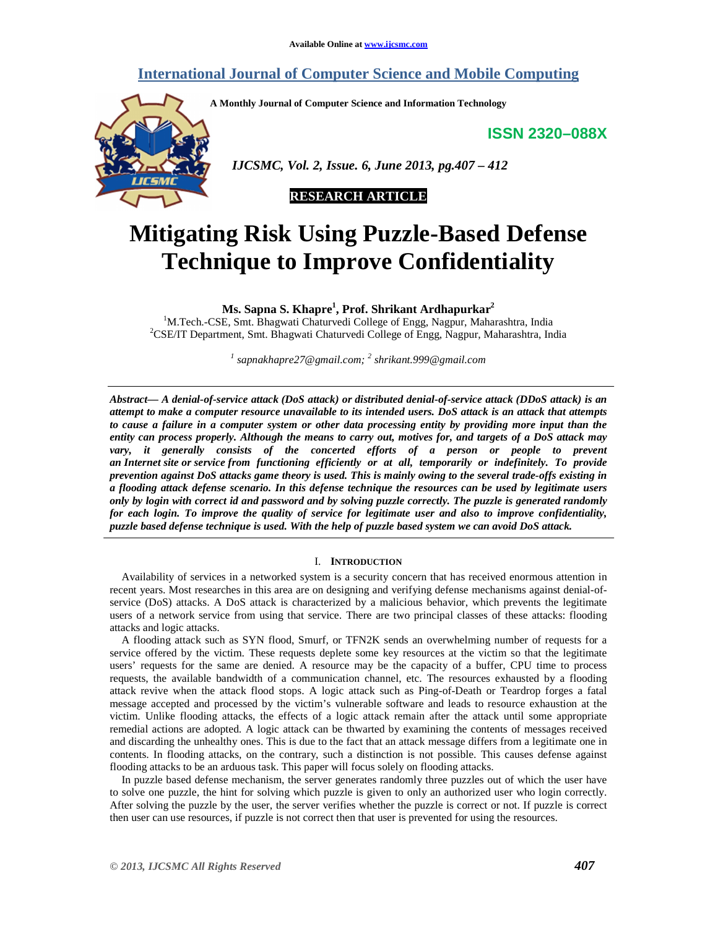# **International Journal of Computer Science and Mobile Computing**

**A Monthly Journal of Computer Science and Information Technology** 

**ISSN 2320–088X**



 *IJCSMC, Vol. 2, Issue. 6, June 2013, pg.407 – 412* 



# **Mitigating Risk Using Puzzle-Based Defense Technique to Improve Confidentiality**

**Ms. Sapna S. Khapre<sup>1</sup> , Prof. Shrikant Ardhapurkar<sup>2</sup>**

<sup>1</sup>M.Tech.-CSE, Smt. Bhagwati Chaturvedi College of Engg, Nagpur, Maharashtra, India <sup>2</sup>CSE/IT Department, Smt. Bhagwati Chaturvedi College of Engg, Nagpur, Maharashtra, India

*1 sapnakhapre27@gmail.com; <sup>2</sup> shrikant.999@gmail.com* 

*Abstract— A denial-of-service attack (DoS attack) or distributed denial-of-service attack (DDoS attack) is an attempt to make a computer resource unavailable to its intended users. DoS attack is an attack that attempts to cause a failure in a computer system or other data processing entity by providing more input than the entity can process properly. Although the means to carry out, motives for, and targets of a DoS attack may*  vary, it generally consists of the concerted efforts of a person or people to prevent *an Internet site or service from functioning efficiently or at all, temporarily or indefinitely. To provide prevention against DoS attacks game theory is used. This is mainly owing to the several trade-offs existing in a flooding attack defense scenario. In this defense technique the resources can be used by legitimate users only by login with correct id and password and by solving puzzle correctly. The puzzle is generated randomly for each login. To improve the quality of service for legitimate user and also to improve confidentiality, puzzle based defense technique is used. With the help of puzzle based system we can avoid DoS attack.* 

## I. **INTRODUCTION**

Availability of services in a networked system is a security concern that has received enormous attention in recent years. Most researches in this area are on designing and verifying defense mechanisms against denial-ofservice (DoS) attacks. A DoS attack is characterized by a malicious behavior, which prevents the legitimate users of a network service from using that service. There are two principal classes of these attacks: flooding attacks and logic attacks.

A flooding attack such as SYN flood, Smurf, or TFN2K sends an overwhelming number of requests for a service offered by the victim. These requests deplete some key resources at the victim so that the legitimate users' requests for the same are denied. A resource may be the capacity of a buffer, CPU time to process requests, the available bandwidth of a communication channel, etc. The resources exhausted by a flooding attack revive when the attack flood stops. A logic attack such as Ping-of-Death or Teardrop forges a fatal message accepted and processed by the victim's vulnerable software and leads to resource exhaustion at the victim. Unlike flooding attacks, the effects of a logic attack remain after the attack until some appropriate remedial actions are adopted. A logic attack can be thwarted by examining the contents of messages received and discarding the unhealthy ones. This is due to the fact that an attack message differs from a legitimate one in contents. In flooding attacks, on the contrary, such a distinction is not possible. This causes defense against flooding attacks to be an arduous task. This paper will focus solely on flooding attacks.

In puzzle based defense mechanism, the server generates randomly three puzzles out of which the user have to solve one puzzle, the hint for solving which puzzle is given to only an authorized user who login correctly. After solving the puzzle by the user, the server verifies whether the puzzle is correct or not. If puzzle is correct then user can use resources, if puzzle is not correct then that user is prevented for using the resources.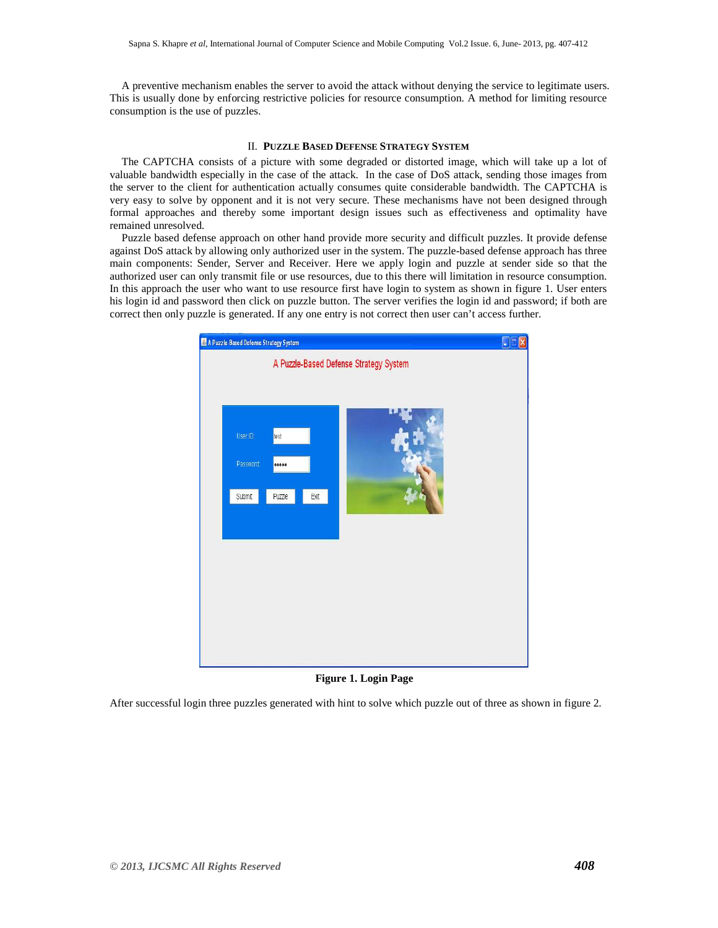A preventive mechanism enables the server to avoid the attack without denying the service to legitimate users. This is usually done by enforcing restrictive policies for resource consumption. A method for limiting resource consumption is the use of puzzles.

### II. **PUZZLE BASED DEFENSE STRATEGY SYSTEM**

The CAPTCHA consists of a picture with some degraded or distorted image, which will take up a lot of valuable bandwidth especially in the case of the attack. In the case of DoS attack, sending those images from the server to the client for authentication actually consumes quite considerable bandwidth. The CAPTCHA is very easy to solve by opponent and it is not very secure. These mechanisms have not been designed through formal approaches and thereby some important design issues such as effectiveness and optimality have remained unresolved.

Puzzle based defense approach on other hand provide more security and difficult puzzles. It provide defense against DoS attack by allowing only authorized user in the system. The puzzle-based defense approach has three main components: Sender, Server and Receiver. Here we apply login and puzzle at sender side so that the authorized user can only transmit file or use resources, due to this there will limitation in resource consumption. In this approach the user who want to use resource first have login to system as shown in figure 1. User enters his login id and password then click on puzzle button. The server verifies the login id and password; if both are correct then only puzzle is generated. If any one entry is not correct then user can't access further.



**Figure 1. Login Page**

After successful login three puzzles generated with hint to solve which puzzle out of three as shown in figure 2.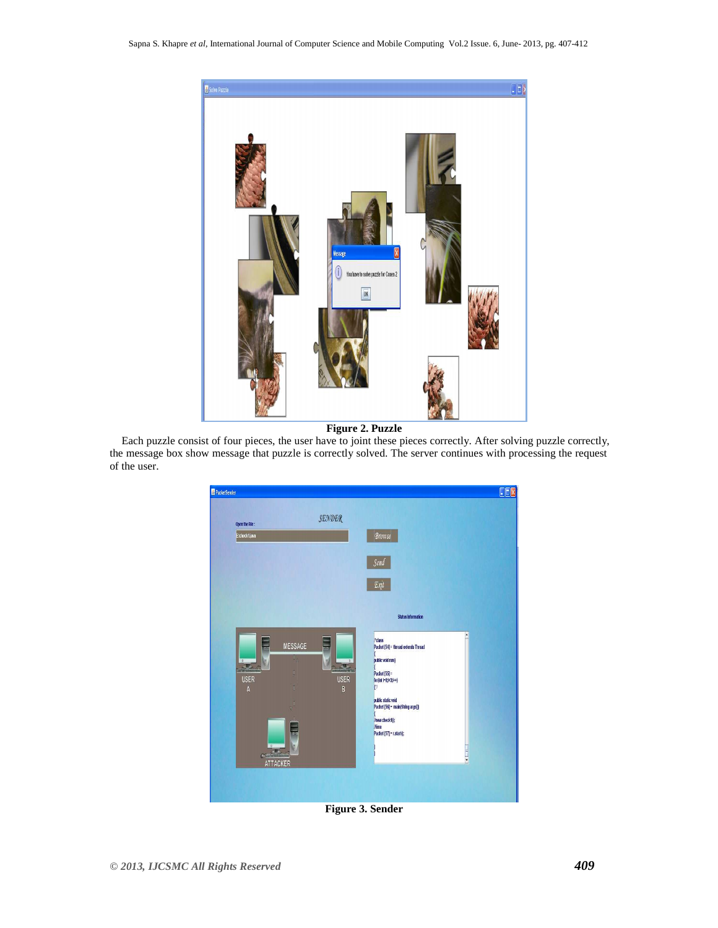

**Figure 2. Puzzle**

Each puzzle consist of four pieces, the user have to joint these pieces correctly. After solving puzzle correctly, the message box show message that puzzle is correctly solved. The server continues with processing the request of the user.



**Figure 3. Sender**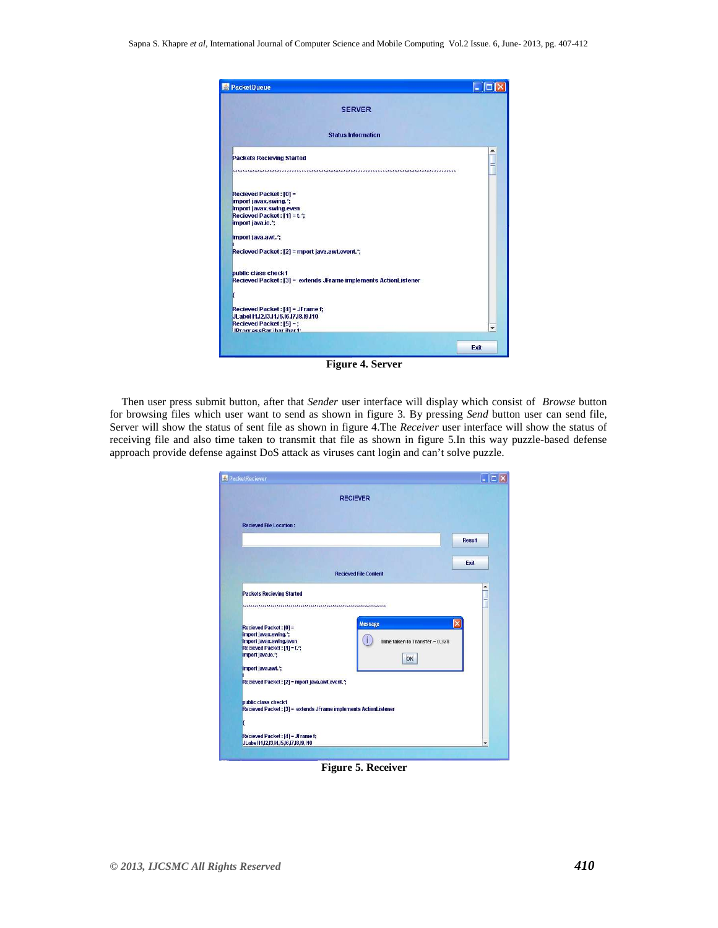

**Figure 4. Server** 

Then user press submit button, after that *Sender* user interface will display which consist of *Browse* button for browsing files which user want to send as shown in figure 3. By pressing *Send* button user can send file, Server will show the status of sent file as shown in figure 4.The *Receiver* user interface will show the status of receiving file and also time taken to transmit that file as shown in figure 5.In this way puzzle-based defense approach provide defense against DoS attack as viruses cant login and can't solve puzzle.

|                                                                                                                                                                                                                      | <b>RECIEVER</b>                                      |
|----------------------------------------------------------------------------------------------------------------------------------------------------------------------------------------------------------------------|------------------------------------------------------|
| <b>Recieved File Location:</b>                                                                                                                                                                                       |                                                      |
|                                                                                                                                                                                                                      | <b>Result</b>                                        |
|                                                                                                                                                                                                                      | Exit                                                 |
|                                                                                                                                                                                                                      | <b>Recieved File Content</b>                         |
| <b>Packets Recieving Started</b>                                                                                                                                                                                     | A                                                    |
|                                                                                                                                                                                                                      | Ħ                                                    |
|                                                                                                                                                                                                                      |                                                      |
|                                                                                                                                                                                                                      | ×<br>Message<br>Time taken to Transfer = 0.328<br>OK |
| Recieved Packet: [0] =<br>import javax.swing.";<br>import javax.swing.even<br>Recieved Packet: [1] = t. <sup>*</sup> ;<br>import java.io.":<br>import java.awt.";<br>Recieved Packet : [2] = mport java.awt.event.'; |                                                      |
|                                                                                                                                                                                                                      |                                                      |
| public class check1<br>Recieved Packet : [3] = extends JFrame implements ActionListener<br>ŗ                                                                                                                         |                                                      |

**Figure 5. Receiver**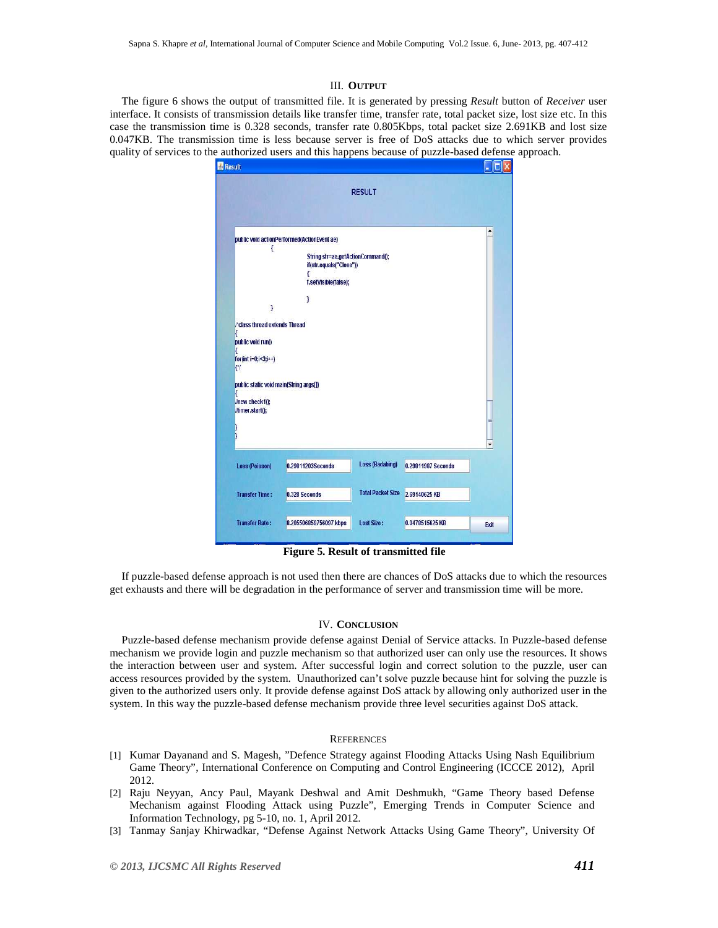#### III. **OUTPUT**

The figure 6 shows the output of transmitted file. It is generated by pressing *Result* button of *Receiver* user interface. It consists of transmission details like transfer time, transfer rate, total packet size, lost size etc. In this case the transmission time is 0.328 seconds, transfer rate 0.805Kbps, total packet size 2.691KB and lost size 0.047KB. The transmission time is less because server is free of DoS attacks due to which server provides quality of services to the authorized users and this happens because of puzzle-based defense approach.



**Figure 5. Result of transmitted file** 

If puzzle-based defense approach is not used then there are chances of DoS attacks due to which the resources get exhausts and there will be degradation in the performance of server and transmission time will be more.

#### IV. **CONCLUSION**

Puzzle-based defense mechanism provide defense against Denial of Service attacks. In Puzzle-based defense mechanism we provide login and puzzle mechanism so that authorized user can only use the resources. It shows the interaction between user and system. After successful login and correct solution to the puzzle, user can access resources provided by the system. Unauthorized can't solve puzzle because hint for solving the puzzle is given to the authorized users only. It provide defense against DoS attack by allowing only authorized user in the system. In this way the puzzle-based defense mechanism provide three level securities against DoS attack.

#### **REFERENCES**

- [1] Kumar Dayanand and S. Magesh, "Defence Strategy against Flooding Attacks Using Nash Equilibrium Game Theory", International Conference on Computing and Control Engineering (ICCCE 2012), April 2012.
- [2] Raju Neyyan, Ancy Paul, Mayank Deshwal and Amit Deshmukh, "Game Theory based Defense Mechanism against Flooding Attack using Puzzle", Emerging Trends in Computer Science and Information Technology, pg 5-10, no. 1, April 2012.
- [3] Tanmay Sanjay Khirwadkar, "Defense Against Network Attacks Using Game Theory", University Of